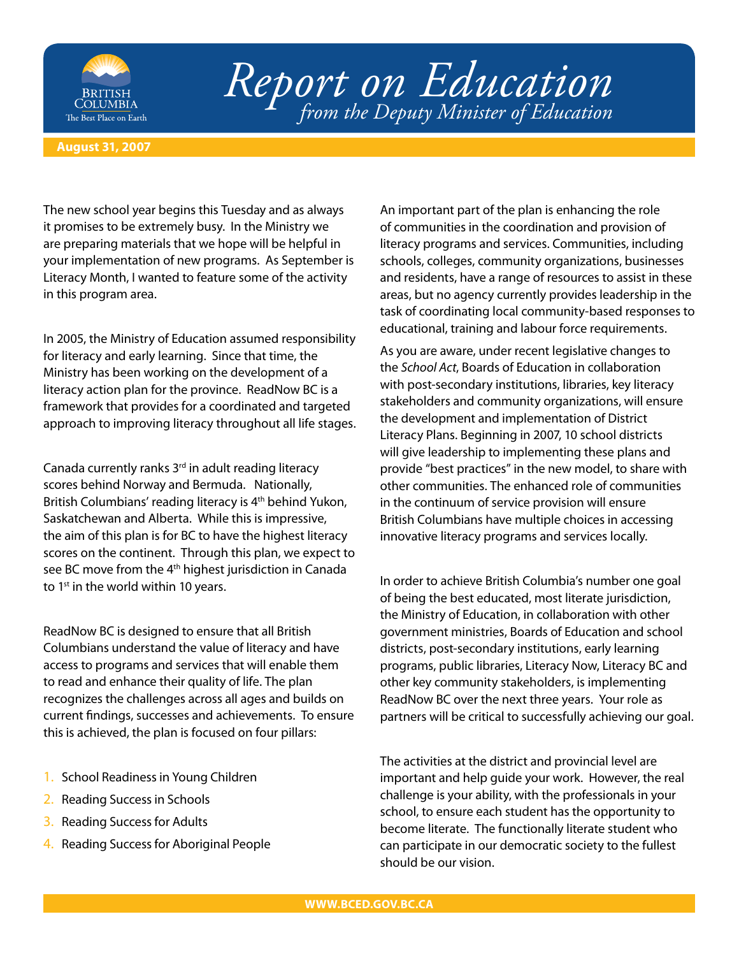

## *Report on Education from the Deputy Minister of Education*

## **August 31, 2007**

The new school year begins this Tuesday and as always it promises to be extremely busy. In the Ministry we are preparing materials that we hope will be helpful in your implementation of new programs. As September is Literacy Month, I wanted to feature some of the activity in this program area.

In 2005, the Ministry of Education assumed responsibility for literacy and early learning. Since that time, the Ministry has been working on the development of a literacy action plan for the province. ReadNow BC is a framework that provides for a coordinated and targeted approach to improving literacy throughout all life stages.

Canada currently ranks  $3<sup>rd</sup>$  in adult reading literacy scores behind Norway and Bermuda. Nationally, British Columbians' reading literacy is 4<sup>th</sup> behind Yukon, Saskatchewan and Alberta. While this is impressive, the aim of this plan is for BC to have the highest literacy scores on the continent. Through this plan, we expect to see BC move from the 4<sup>th</sup> highest jurisdiction in Canada to 1<sup>st</sup> in the world within 10 years.

ReadNow BC is designed to ensure that all British Columbians understand the value of literacy and have access to programs and services that will enable them to read and enhance their quality of life. The plan recognizes the challenges across all ages and builds on current findings, successes and achievements. To ensure this is achieved, the plan is focused on four pillars:

- 1. School Readiness in Young Children
- 2. Reading Success in Schools
- 3. Reading Success for Adults
- 4. Reading Success for Aboriginal People

An important part of the plan is enhancing the role of communities in the coordination and provision of literacy programs and services. Communities, including schools, colleges, community organizations, businesses and residents, have a range of resources to assist in these areas, but no agency currently provides leadership in the task of coordinating local community-based responses to educational, training and labour force requirements.

As you are aware, under recent legislative changes to the *School Act*, Boards of Education in collaboration with post-secondary institutions, libraries, key literacy stakeholders and community organizations, will ensure the development and implementation of District Literacy Plans. Beginning in 2007, 10 school districts will give leadership to implementing these plans and provide "best practices" in the new model, to share with other communities. The enhanced role of communities in the continuum of service provision will ensure British Columbians have multiple choices in accessing innovative literacy programs and services locally.

In order to achieve British Columbia's number one goal of being the best educated, most literate jurisdiction, the Ministry of Education, in collaboration with other government ministries, Boards of Education and school districts, post-secondary institutions, early learning programs, public libraries, Literacy Now, Literacy BC and other key community stakeholders, is implementing ReadNow BC over the next three years. Your role as partners will be critical to successfully achieving our goal.

The activities at the district and provincial level are important and help guide your work. However, the real challenge is your ability, with the professionals in your school, to ensure each student has the opportunity to become literate. The functionally literate student who can participate in our democratic society to the fullest should be our vision.